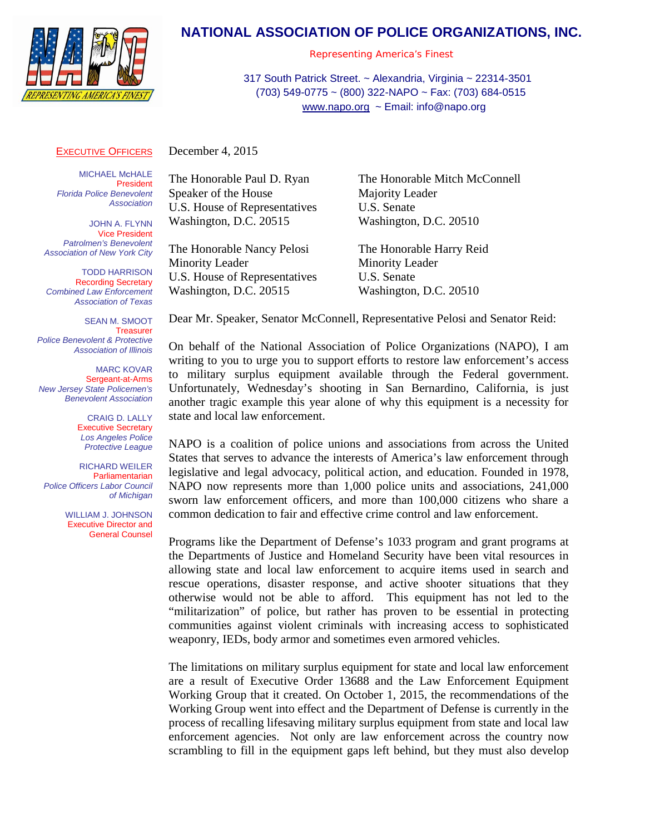

## **NATIONAL ASSOCIATION OF POLICE ORGANIZATIONS, INC.**

*Representing America's Finest*

317 South Patrick Street. ~ Alexandria, Virginia ~ 22314-3501 (703) 549-0775 ~ (800) 322-NAPO ~ Fax: (703) 684-0515 [www.napo.org](http://www.napo.org/) ~ Email: info@napo.org

## **EXECUTIVE OFFICERS**

December 4, 2015

**MICHAEL McHALE** President *Florida Police Benevolent Association*

JOHN A. FLYNN Vice President *Patrolmen's Benevolent Association of New York City*

TODD HARRISON Recording Secretary *Combined Law Enforcement Association of Texas*

SEAN M. SMOOT **Treasurer** *Police Benevolent & Protective Association of Illinois*

MARC KOVAR Sergeant-at-Arms *New Jersey State Policemen's Benevolent Association*

> CRAIG D. LALLY Executive Secretary *Los Angeles Police Protective League*

RICHARD WEILER Parliamentarian *Police Officers Labor Council of Michigan*

> WILLIAM J. JOHNSON Executive Director and General Counsel

Speaker of the House Majority Leader U.S. House of Representatives U.S. Senate Washington, D.C. 20515 Washington, D.C. 20510

The Honorable Nancy Pelosi The Honorable Harry Reid Minority Leader Minority Leader U.S. House of Representatives U.S. Senate Washington, D.C. 20515 Washington, D.C. 20510

The Honorable Paul D. Ryan The Honorable Mitch McConnell

Dear Mr. Speaker, Senator McConnell, Representative Pelosi and Senator Reid:

On behalf of the National Association of Police Organizations (NAPO), I am writing to you to urge you to support efforts to restore law enforcement's access to military surplus equipment available through the Federal government. Unfortunately, Wednesday's shooting in San Bernardino, California, is just another tragic example this year alone of why this equipment is a necessity for state and local law enforcement.

NAPO is a coalition of police unions and associations from across the United States that serves to advance the interests of America's law enforcement through legislative and legal advocacy, political action, and education. Founded in 1978, NAPO now represents more than 1,000 police units and associations, 241,000 sworn law enforcement officers, and more than 100,000 citizens who share a common dedication to fair and effective crime control and law enforcement.

Programs like the Department of Defense's 1033 program and grant programs at the Departments of Justice and Homeland Security have been vital resources in allowing state and local law enforcement to acquire items used in search and rescue operations, disaster response, and active shooter situations that they otherwise would not be able to afford. This equipment has not led to the "militarization" of police, but rather has proven to be essential in protecting communities against violent criminals with increasing access to sophisticated weaponry, IEDs, body armor and sometimes even armored vehicles.

The limitations on military surplus equipment for state and local law enforcement are a result of Executive Order 13688 and the Law Enforcement Equipment Working Group that it created. On October 1, 2015, the recommendations of the Working Group went into effect and the Department of Defense is currently in the process of recalling lifesaving military surplus equipment from state and local law enforcement agencies. Not only are law enforcement across the country now scrambling to fill in the equipment gaps left behind, but they must also develop